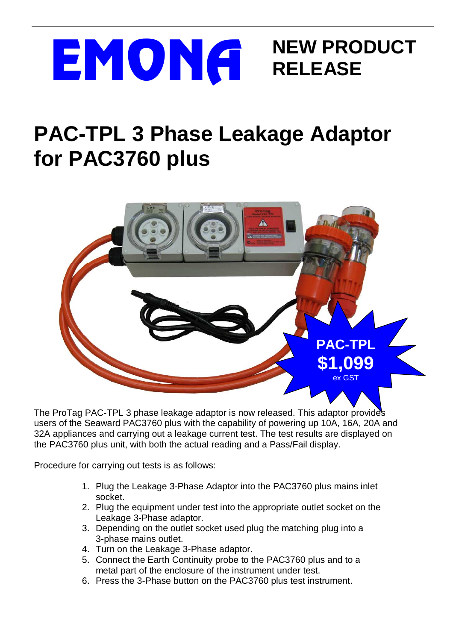

## **PAC-TPL 3 Phase Leakage Adaptor for PAC3760 plus**



The ProTag PAC-TPL 3 phase leakage adaptor is now released. This adaptor provides users of the Seaward PAC3760 plus with the capability of powering up 10A, 16A, 20A and 32A appliances and carrying out a leakage current test. The test results are displayed on the PAC3760 plus unit, with both the actual reading and a Pass/Fail display.

Procedure for carrying out tests is as follows:

- 1. Plug the Leakage 3-Phase Adaptor into the PAC3760 plus mains inlet socket.
- 2. Plug the equipment under test into the appropriate outlet socket on the Leakage 3-Phase adaptor.
- 3. Depending on the outlet socket used plug the matching plug into a 3-phase mains outlet.
- 4. Turn on the Leakage 3-Phase adaptor.
- 5. Connect the Earth Continuity probe to the PAC3760 plus and to a metal part of the enclosure of the instrument under test.
- 6. Press the 3-Phase button on the PAC3760 plus test instrument.